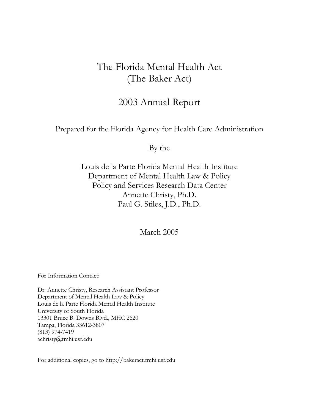# The Florida Mental Health Act (The Baker Act)

# 2003 Annual Report

## Prepared for the Florida Agency for Health Care Administration

By the

Louis de la Parte Florida Mental Health Institute Department of Mental Health Law & Policy Policy and Services Research Data Center Annette Christy, Ph.D. Paul G. Stiles, J.D., Ph.D.

March 2005

For Information Contact:

Dr. Annette Christy, Research Assistant Professor Department of Mental Health Law & Policy Louis de la Parte Florida Mental Health Institute University of South Florida 13301 Bruce B. Downs Blvd., MHC 2620 Tampa, Florida 33612-3807 (813) 974-7419 achristy@fmhi.usf.edu

For additional copies, go to http://bakeract.fmhi.usf.edu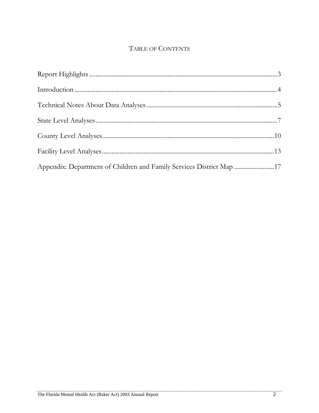# TABLE OF CONTENTS

| Appendix: Department of Children and Family Services District Map 17 |  |
|----------------------------------------------------------------------|--|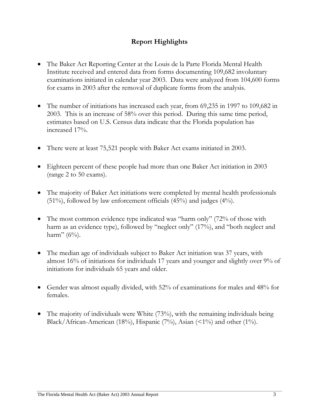## **Report Highlights**

- The Baker Act Reporting Center at the Louis de la Parte Florida Mental Health Institute received and entered data from forms documenting 109,682 involuntary examinations initiated in calendar year 2003. Data were analyzed from 104,600 forms for exams in 2003 after the removal of duplicate forms from the analysis.
- The number of initiations has increased each year, from 69,235 in 1997 to 109,682 in 2003. This is an increase of 58% over this period. During this same time period, estimates based on U.S. Census data indicate that the Florida population has increased 17%.
- There were at least 75,521 people with Baker Act exams initiated in 2003.
- Eighteen percent of these people had more than one Baker Act initiation in 2003 (range 2 to 50 exams).
- The majority of Baker Act initiations were completed by mental health professionals  $(51\%)$ , followed by law enforcement officials  $(45\%)$  and judges  $(4\%)$ .
- The most common evidence type indicated was "harm only" (72% of those with harm as an evidence type), followed by "neglect only" (17%), and "both neglect and harm"  $(6\%)$ .
- The median age of individuals subject to Baker Act initiation was 37 years, with almost 16% of initiations for individuals 17 years and younger and slightly over 9% of initiations for individuals 65 years and older.
- Gender was almost equally divided, with 52% of examinations for males and 48% for females.
- The majority of individuals were White (73%), with the remaining individuals being Black/African-American (18%), Hispanic (7%), Asian (<1%) and other (1%).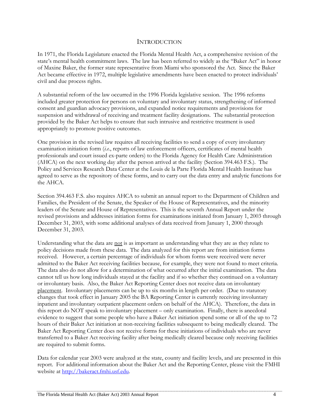#### INTRODUCTION

In 1971, the Florida Legislature enacted the Florida Mental Health Act, a comprehensive revision of the state's mental health commitment laws. The law has been referred to widely as the "Baker Act" in honor of Maxine Baker, the former state representative from Miami who sponsored the Act. Since the Baker Act became effective in 1972, multiple legislative amendments have been enacted to protect individuals' civil and due process rights.

A substantial reform of the law occurred in the 1996 Florida legislative session. The 1996 reforms included greater protection for persons on voluntary and involuntary status, strengthening of informed consent and guardian advocacy provisions, and expanded notice requirements and provisions for suspension and withdrawal of receiving and treatment facility designations. The substantial protection provided by the Baker Act helps to ensure that such intrusive and restrictive treatment is used appropriately to promote positive outcomes.

One provision in the revised law requires all receiving facilities to send a copy of every involuntary examination initiation form (*i.e.*, reports of law enforcement officers, certificates of mental health professionals and court issued ex-parte orders) to the Florida Agency for Health Care Administration (AHCA) on the next working day after the person arrived at the facility (Section 394.463 F.S.). The Policy and Services Research Data Center at the Louis de la Parte Florida Mental Health Institute has agreed to serve as the repository of these forms, and to carry out the data entry and analytic functions for the AHCA.

Section 394.463 F.S. also requires AHCA to submit an annual report to the Department of Children and Families, the President of the Senate, the Speaker of the House of Representatives, and the minority leaders of the Senate and House of Representatives. This is the seventh Annual Report under the revised provisions and addresses initiation forms for examinations initiated from January 1, 2003 through December 31, 2003, with some additional analyses of data received from January 1, 2000 through December 31, 2003.

Understanding what the data are not is as important as understanding what they are as they relate to policy decisions made from these data. The data analyzed for this report are from initiation forms received. However, a certain percentage of individuals for whom forms were received were never admitted to the Baker Act receiving facilities because, for example, they were not found to meet criteria. The data also do not allow for a determination of what occurred after the initial examination. The data cannot tell us how long individuals stayed at the facility and if so whether they continued on a voluntary or involuntary basis. Also, the Baker Act Reporting Center does not receive data on involuntary placement. Involuntary placements can be up to six months in length per order. (Due to statutory changes that took effect in January 2005 the BA Reporting Center is currently receiving involuntary inpatient and involuntary outpatient placement orders on behalf of the AHCA). Therefore, the data in this report do NOT speak to involuntary placement – only examination. Finally, there is anecdotal evidence to suggest that some people who have a Baker Act initiation spend some or all of the up to 72 hours of their Baker Act initiation at non-receiving facilities subsequent to being medically cleared. The Baker Act Reporting Center does not receive forms for these initiations of individuals who are never transferred to a Baker Act receiving facility after being medically cleared because only receiving facilities are required to submit forms.

Data for calendar year 2003 were analyzed at the state, county and facility levels, and are presented in this report. For additional information about the Baker Act and the Reporting Center, please visit the FMHI website at [http://bakeract.fmhi.usf.edu](http://bakeract.fmhi.usf.edu/).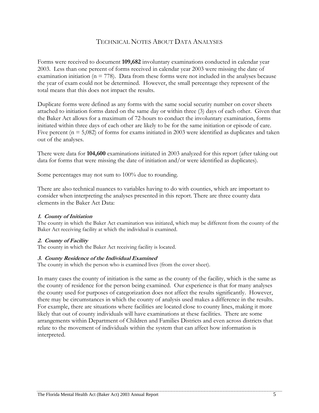### TECHNICAL NOTES ABOUT DATA ANALYSES

Forms were received to document **109,682** involuntary examinations conducted in calendar year 2003. Less than one percent of forms received in calendar year 2003 were missing the date of examination initiation ( $n = 778$ ). Data from these forms were not included in the analyses because the year of exam could not be determined. However, the small percentage they represent of the total means that this does not impact the results.

Duplicate forms were defined as any forms with the same social security number on cover sheets attached to initiation forms dated on the same day or within three (3) days of each other. Given that the Baker Act allows for a maximum of 72-hours to conduct the involuntary examination, forms initiated within three days of each other are likely to be for the same initiation or episode of care. Five percent ( $n = 5,082$ ) of forms for exams initiated in 2003 were identified as duplicates and taken out of the analyses.

There were data for **104,600** examinations initiated in 2003 analyzed for this report (after taking out data for forms that were missing the date of initiation and/or were identified as duplicates).

Some percentages may not sum to 100% due to rounding.

There are also technical nuances to variables having to do with counties, which are important to consider when interpreting the analyses presented in this report. There are three county data elements in the Baker Act Data:

#### **1. County of Initiation**

The county in which the Baker Act examination was initiated, which may be different from the county of the Baker Act receiving facility at which the individual is examined.

#### **2. County of Facility**

The county in which the Baker Act receiving facility is located.

#### **3. County Residence of the Individual Examined**

The county in which the person who is examined lives (from the cover sheet).

In many cases the county of initiation is the same as the county of the facility, which is the same as the county of residence for the person being examined. Our experience is that for many analyses the county used for purposes of categorization does not affect the results significantly. However, there may be circumstances in which the county of analysis used makes a difference in the results. For example, there are situations where facilities are located close to county lines, making it more likely that out of county individuals will have examinations at these facilities. There are some arrangements within Department of Children and Families Districts and even across districts that relate to the movement of individuals within the system that can affect how information is interpreted.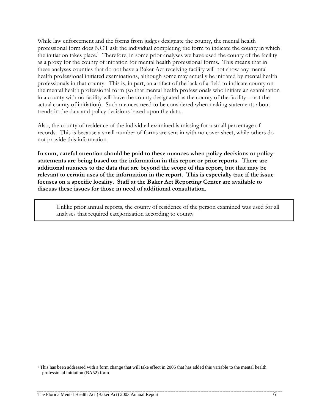While law enforcement and the forms from judges designate the county, the mental health professional form does NOT ask the individual completing the form to indicate the county in which theinitiation takes place.<sup>1</sup> Therefore, in some prior analyses we have used the county of the facility as a proxy for the county of initiation for mental health professional forms. This means that in these analyses counties that do not have a Baker Act receiving facility will not show any mental health professional initiated examinations, although some may actually be initiated by mental health professionals in that county. This is, in part, an artifact of the lack of a field to indicate county on the mental health professional form (so that mental health professionals who initiate an examination in a county with no facility will have the county designated as the county of the facility – not the actual county of initiation). Such nuances need to be considered when making statements about trends in the data and policy decisions based upon the data.

Also, the county of residence of the individual examined is missing for a small percentage of records. This is because a small number of forms are sent in with no cover sheet, while others do not provide this information.

**In sum, careful attention should be paid to these nuances when policy decisions or policy statements are being based on the information in this report or prior reports. There are additional nuances to the data that are beyond the scope of this report, but that may be relevant to certain uses of the information in the report. This is especially true if the issue focuses on a specific locality. Staff at the Baker Act Reporting Center are available to discuss these issues for those in need of additional consultation.** 

Unlike prior annual reports, the county of residence of the person examined was used for all analyses that required categorization according to county

 $\overline{\phantom{a}}$ 

<span id="page-5-0"></span><sup>1</sup> This has been addressed with a form change that will take effect in 2005 that has added this variable to the mental health professional initiation (BA52) form.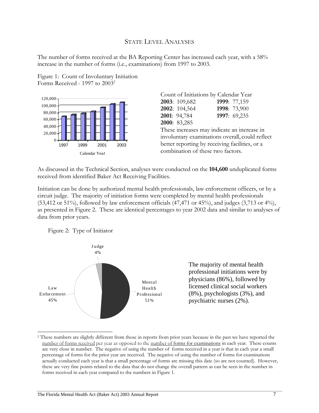#### STATE LEVEL ANALYSES

The number of forms received at the BA Reporting Center has increased each year, with a 58% increase in the number of forms (i.e., examinations) from 1997 to 2003.





|  | Count of Initiations by Calendar Year          |                                                 |
|--|------------------------------------------------|-------------------------------------------------|
|  | 2003: 109,682                                  | 1999: 77,159                                    |
|  | 2002: 104,564                                  | 1998: 73,900                                    |
|  | 2001: 94,784                                   | 1997: 69,235                                    |
|  | 2000: 83,285                                   |                                                 |
|  | These increases may indicate an increase in    |                                                 |
|  |                                                | involuntary examinations overall, could reflect |
|  | better reporting by receiving facilities, or a |                                                 |
|  | combination of these two factors.              |                                                 |
|  |                                                |                                                 |

As discussed in the Technical Section, analyses were conducted on the **104,600** unduplicated forms received from identified Baker Act Receiving Facilities.

Initiation can be done by authorized mental health professionals, law enforcement officers, or by a circuit judge. The majority of initiation forms were completed by mental health professionals  $(53,412 \text{ or } 51\%)$ , followed by law enforcement officials  $(47,471 \text{ or } 45\%)$ , and judges  $(3,713 \text{ or } 4\%)$ , as presented in Figure 2. These are identical percentages to year 2002 data and similar to analyses of data from prior years.



 $\overline{\phantom{a}}$ 



The majority of mental health professional initiations were by physicians (86%), followed by licensed clinical social workers (8%), psychologists (3%), and psychiatric nurses (2%).

<span id="page-6-0"></span><sup>&</sup>lt;sup>2</sup> These numbers are slightly different from those in reports from prior years because in the past we have reported the number of forms received per year as opposed to the number of forms for examinations in each year. These counts are very close in number. The negative of using the number of forms received in a year is that in each year a small percentage of forms for the prior year are received. The negative of using the number of forms for examinations actually conducted each year is that a small percentage of forms are missing this date (so are not counted). However, these are very fine points related to the data that do not change the overall pattern as can be seen in the number in forms received in each year compared to the numbers in Figure 1.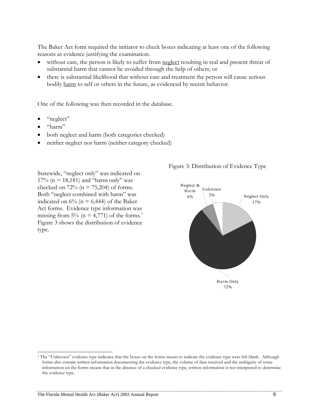The Baker Act form required the initiator to check boxes indicating at least one of the following reasons as evidence justifying the examination.

- without care, the person is likely to suffer from neglect resulting in real and present threat of substantial harm that cannot be avoided through the help of others; or
- there is substantial likelihood that without care and treatment the person will cause serious bodily harm to self or others in the future, as evidenced by recent behavior.

One of the following was then recorded in the database.

- "neglect"
- "harm"

l

- both neglect and harm (both categories checked)
- neither neglect nor harm (neither category checked)

Statewide, "neglect only" was indicated on 17% ( $n = 18,181$ ) and "harm only" was checked on  $72\%$  (n = 75,204) of forms. Both "neglect combined with harm" was indicated on  $6\%$  (n = 6,444) of the Baker Act forms. Evidence type information was missing from 5% ( $n = 4,771$ ) of the forms.<sup>3</sup> Figure 3 shows the distribution of evidence type.

#### Figure 3: Distribution of Evidence Type



<span id="page-7-0"></span><sup>&</sup>lt;sup>3</sup> The "Unknown" evidence type indicates that the boxes on the forms meant to indicate the evidence type were left blank. Although forms also contain written information documenting the evidence type, the volume of data received and the ambiguity of some information on the forms means that in the absence of a checked evidence type, written information is not interpreted to determine the evidence type.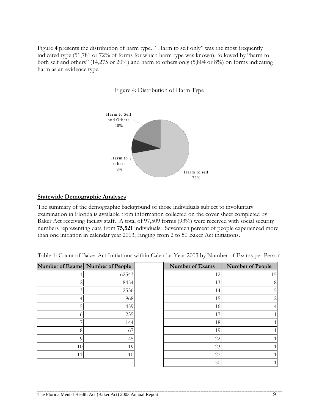Figure 4 presents the distribution of harm type. "Harm to self only" was the most frequently indicated type (51,781 or 72% of forms for which harm type was known), followed by "harm to both self and others" (14,275 or 20%) and harm to others only (5,804 or 8%) on forms indicating harm as an evidence type.

Figure 4: Distribution of Harm Type



#### **Statewide Demographic Analyses**

The summary of the demographic background of those individuals subject to involuntary examination in Florida is available from information collected on the cover sheet completed by Baker Act receiving facility staff. A total of 97,509 forms (93%) were received with social security numbers representing data from **75,521** individuals. Seventeen percent of people experienced more than one initiation in calendar year 2003, ranging from 2 to 50 Baker Act initiations.

Table 1: Count of Baker Act Initiations within Calendar Year 2003 by Number of Exams per Person

|    | Number of Exams Number of People | <b>Number of Exams</b> | <b>Number of People</b> |
|----|----------------------------------|------------------------|-------------------------|
|    | 62543                            | 12                     | 15                      |
|    | 8454                             | 13                     |                         |
|    | 2536                             | 14                     |                         |
|    | 968                              | 15                     |                         |
|    | 459                              | 16                     |                         |
|    | 235                              | 17                     |                         |
|    | 144                              | 18                     |                         |
|    | 67                               | 19                     |                         |
|    | 45                               | 22                     |                         |
| 10 | 19                               | 23                     |                         |
| 11 | 10                               | 27                     |                         |
|    |                                  | 50                     |                         |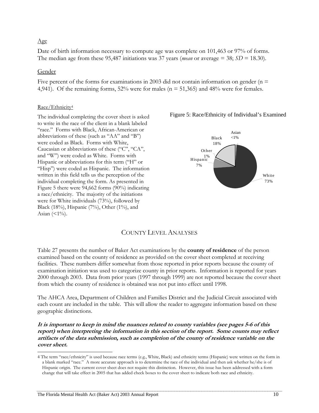#### Age

Date of birth information necessary to compute age was complete on 101,463 or 97% of forms. The median age from these 95,487 initiations was 37 years (*mean* or average  $=$  38; *SD*  $=$  18.30).

#### Gender

l

Five percent of the forms for examinations in 2003 did not contain information on gender ( $n =$ 4,941). Of the remaining forms,  $52\%$  were for males ( $n = 51,365$ ) and 48% were for females.

#### Race/Ethnicity<sup>4</sup>

The individual completing the cover sheet is asked to write in the race of the client in a blank labeled "race." Forms with Black, African-American or abbreviations of these (such as "AA" and "B") were coded as Black. Forms with White, Caucasian or abbreviations of these ("C", "CA", and "W") were coded as White. Forms with Hispanic or abbreviations for this term ("H" or "Hisp") were coded as Hispanic. The information written in this field tells us the perception of the individual completing the form. As presented in Figure 5 there were 94,662 forms (90%) indicating a race/ethnicity. The majority of the initiations were for White individuals (73%), followed by Black (18%), Hispanic (7%), Other (1%), and Asian  $($  <math>1\%</math>).



#### Figure 5: Race/Ethnicity of Individual's Examined

### COUNTY LEVEL ANALYSES

Table 27 presents the number of Baker Act examinations by the **county of residence** of the person examined based on the county of residence as provided on the cover sheet completed at receiving facilities. These numbers differ somewhat from those reported in prior reports because the county of examination initiation was used to categorize county in prior reports. Information is reported for years 2000 through 2003. Data from prior years (1997 through 1999) are not reported because the cover sheet from which the county of residence is obtained was not put into effect until 1998.

The AHCA Area, Department of Children and Families District and the Judicial Circuit associated with each count are included in the table. This will allow the reader to aggregate information based on these geographic distinctions.

artifacts of the data submission, such as completion of the county of residence variable on the **It is important to keep in mind the nuances related to county variables (see pages 5-6 of this report) when interpreting the information in this section of the report. Some counts may reflect cover sheet.** 

<span id="page-9-0"></span><sup>4</sup> The term "race/ethnicity" is used because race terms (e.g., White, Black) and ethnicity terms (Hispanic) were written on the form in a blank marked "race." A more accurate approach is to determine the race of the individual and then ask whether he/she is of Hispanic origin. The current cover sheet does not require this distinction. However, this issue has been addressed with a form change that will take effect in 2005 that has added check boxes to the cover sheet to indicate both race and ethnicity.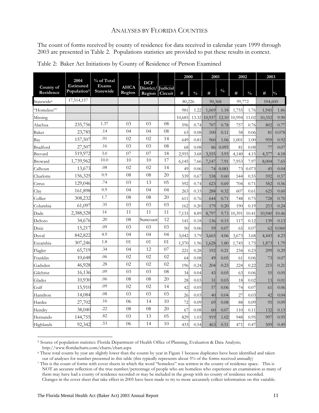#### ANALYSES BY FLORIDA COUNTIES

The count of forms received by county of residence for data received in calendar years 1999 through 2003 are presented in Table 2. Populations statistics are provided to put these results in context.

|                         |                                                     |                                         |                       |                                   |                            | 2000   |               | 2001   |               | 2002   |               | 2003    |               |
|-------------------------|-----------------------------------------------------|-----------------------------------------|-----------------------|-----------------------------------|----------------------------|--------|---------------|--------|---------------|--------|---------------|---------|---------------|
| County of<br>Residence  | 2004<br><b>Estimated</b><br>Population <sup>5</sup> | % of Total<br><b>Exams</b><br>Statewide | <b>AHCA</b><br>Region | <b>DCF</b><br>District/<br>Region | <b>Judicial</b><br>Circuit | #      | $\frac{0}{0}$ | #      | $\frac{0}{0}$ | #      | $\frac{0}{0}$ | $\#$    | $\frac{0}{0}$ |
| Statewide <sup>6</sup>  | 17,514,157                                          |                                         |                       |                                   |                            | 80.226 |               | 90,368 |               | 99.772 |               | 104,600 |               |
| "Homeless" <sup>7</sup> |                                                     |                                         |                       |                                   |                            | 981    | 1.22          | 1,069  | 1.18          | 1,755  | 1.76          | 1,945   | 1.86          |
| Missing                 |                                                     |                                         |                       |                                   |                            | 10,685 | 13.32         | 10,937 | 12.10         | 10,994 | 11.02         | 10,352  | 9.90          |
| Alachua                 | 235,756                                             | 1.37                                    | 03                    | 0 <sub>3</sub>                    | 08                         | 596    | 0.74          | 707    | 0.78          | 757    | 0.76          | 802     | 0.77          |
| Baker                   | 23,785                                              | .14                                     | 04                    | 04                                | 08                         | 63     | 0.08          | 100    | 0.11          | 58     | 0.06          | 81      | 0.078         |
| Bay                     | 157,507                                             | .91                                     | 02                    | 02                                | 14                         | 649    | 0.81          | 960    | 1.06          | 1.001  | 1.00          | 959     | 0.92          |
| Bradford                | 27,507                                              | .16                                     | 03                    | 03                                | 08                         | 68     | 0.08          | 86     | 0.095         | 81     | 0.08          | 77      | 0.07          |
| Brevard                 | 519,972                                             | 3.0                                     | 07                    | 07                                | 18                         | 2,955  | 3.68          | 3,555  | 3.93          | 4,140  | 4.15          | 4,377   | 4.18          |
| Broward                 | 1,739,962                                           | 10.0                                    | 10                    | 10                                | 17                         | 6,145  | 7.66          | 7,147  | 7.91          | 7,953  | 7.97          | 8,004   | 7.65          |
| Calhoun                 | 13,673                                              | .08                                     | 02                    | 02                                | 14                         | 49     | 0.06          | 74     | 0.081         | 73     | 0.073         | 45      | 0.04          |
| Charlotte               | 156,325                                             | 0.9                                     | 08                    | 08                                | 20                         | 539    | 0.67          | 538    | 0.60          | 544    | 0.55          | 592     | 0.57          |
| Citrus                  | 129,046                                             | .74                                     | 03                    | 13                                | 05                         | 592    | 0.74          | 623    | 0.69          | 704    | 0.71          | 582     | 0.56          |
| Clay                    | 161,898                                             | 0.9                                     | 04                    | 04                                | 04                         | 263    | 0.33          | 288    | 0.32          | 607    | 0.61          | 625     | 0.60          |
| Collier                 | 308,232                                             | 1.7                                     | 08                    | 08                                | 20                         | 611    | 0.76          | 644    | 0.71          | 748    | 0.75          | 728     | 0.70          |
| Columbia                | 61,097                                              | .35                                     | 03                    | 03                                | 03                         | 162    | 0.20          | 179    | 0.20          | 190    | 0.19          | 253     | 0.24          |
| Dade                    | 2,388,528                                           | 14                                      | 11                    | 11                                | 11                         | 7,133  | 8.89          | 8,797  | 9.73          | 10,391 | 10.41         | 10,940  | 10.46         |
| DeSoto                  | 34,676                                              | .20                                     | 08                    | Suncoast                          | 12                         | 141    | 0.18          | 136    | 0.15          | 117    | 0.12          | 139     | 0.13          |
| Dixie                   | 15,217                                              | .09                                     | 03                    | 03                                | 03                         | 50     | 0.06          | 59     | 0.07          | 65     | 0.07          | 62      | 0.060         |
| Duval                   | 842,822                                             | 4.9                                     | 04                    | 04                                | 04                         | 3,042  | 3.79          | 3,665  | 4.06          | 3,673  | 3.68          | 4,443   | 4.23          |
| Escambia                | 307,246                                             | 1.8                                     | 01                    | 01                                | 01                         | 1,570  | 1.96          | 1,628  | 1.80          | 1,745  | 1.75          | 1,873   | 1.79          |
| Flagler                 | 65,719                                              | .34                                     | 04                    | 12                                | 07                         | 221    | 0.28          | 192    | 0.21          | 234    | 0.23          | 299     | 0.29          |
| Franklin                | 10,648                                              | .06                                     | 02                    | 02                                | 02                         | 64     | 0.08          | 49     | 0.05          | 61     | 0.06          | 73      | 0.07          |
| Gadsden                 | 46,928                                              | .28                                     | 02                    | 02                                | 02                         | 196    | 0.24          | 204    | 0.23          | 224    | 0.22          | 215     | 0.21          |
| Gilchrist               | 16,136                                              | .09                                     | 03                    | 03                                | 08                         | 34     | 0.04          | 43     | 0.05          | 63     | 0.06          | 55      | 0.05          |
| Glades                  | 10,930                                              | .06                                     | ${\bf 08}$            | 08                                | 20                         | 28     | 0.03          | 31     | 0.03          | 18     | 0.02          | 13      | 0.01          |
| Gulf                    | 15,910                                              | .09                                     | 02                    | 02                                | 14                         | 42     | 0.05          | 57     | 0.06          | 74     | 0.07          | 61      | 0.06          |
| Hamilton                | 14,084                                              | .08                                     | 03                    | 03                                | 03                         | 26     | 0.03          | 40     | 0.04          | 27     | 0.03          | 42      | 0.04          |
| Hardee                  | 27,702                                              | .16                                     | 06                    | 14                                | 10                         | 72     | 0.09          | 69     | 0.08          | 88     | 0.09          | 95      | 0.09          |
| Hendry                  | 38,040                                              | .22                                     | 08                    | 08                                | 20                         | 67     | 0.08          | 60     | 0.07          | 110    | 0.11          | 132     | 0.13          |
| Hernando                | 144,755                                             | .82                                     | 03                    | 13                                | 05                         | 829    | 1.03          | 919    | 1.02          | 948    | 0.95          | 997     | 0.95          |
| Highlands               | 92,342                                              | .53                                     | 06                    | 14                                | 10                         | 433    | 0.54          | 463    | 0.51          | 471    | 0.47          | 509     | 0.49          |

| Table 2: Baker Act Initiations by County of Residence of Person Examined |  |
|--------------------------------------------------------------------------|--|
|--------------------------------------------------------------------------|--|

 $\overline{\phantom{a}}$ 

<span id="page-10-0"></span><sup>&</sup>lt;sup>5</sup> Source of population statistics: Florida Department of Health Office of Planning, Evaluation & Data Analysis; http://www.floridacharts.com/charts/chart.aspx

<span id="page-10-1"></span> $\degree$  These total counts by year are slightly lower than the counts by year in Figure 1 because duplicates have been identified and taken out of analyses for number presented in this table (this typically represents about

<span id="page-10-2"></span><sup>7</sup> This is the count of forms with cover sheets in which the word "homeless" was written in the county of residence space. This is NOT an accurate reflection of the true number/percentage of people who are homeless who experience an examination as many of them may have had a county of residence recorded or may be included in the group with no county of residence recorded. Changes in the cover sheet that take effect in 2005 have been made to try to more accurately collect information on this variable.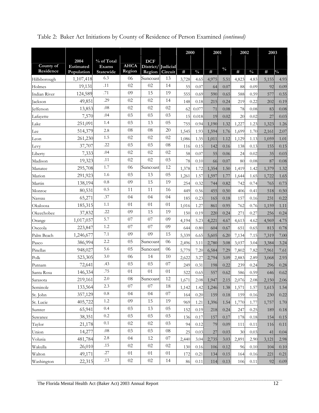|                        |                         |                           |                       |                             |            | 2000  |               | 2001  |               | 2002  |               | 2003  |               |
|------------------------|-------------------------|---------------------------|-----------------------|-----------------------------|------------|-------|---------------|-------|---------------|-------|---------------|-------|---------------|
|                        | 2004                    | % of Total                |                       | <b>DCF</b>                  |            |       |               |       |               |       |               |       |               |
| County of<br>Residence | Estimated<br>Population | Exams<br><b>Statewide</b> | <b>AHCA</b><br>Region | District/Judicial<br>Region | Circuit    | $\#$  | $\frac{0}{0}$ | #     | $\frac{0}{0}$ | #     | $\frac{0}{0}$ | #     | $\frac{0}{0}$ |
| Hillsborough           | 1,107,418               | 6.3                       | 06                    | Suncoast                    | 13         | 3,728 | 4.65          | 4,975 | 5.51          | 4,823 | 4.83          | 5,155 | 4.93          |
| Holmes                 | 19,131                  | .11                       | 02                    | 02                          | 14         | 55    | 0.07          | 64    | 0.07          | 88    | 0.09          | 92    | 0.09          |
| Indian River           | 124,589                 | .71                       | 09                    | 15                          | 19         | 555   | 0.69          | 590   | 0.65          | 588   | 0.59          | 577   | 0.55          |
| Jackson                | 49,851                  | .29                       | 02                    | 02                          | 14         | 148   | 0.18          | 215   | 0.24          | 219   | 0.22          | 202   | 0.19          |
| <b>Jefferson</b>       | 13,853                  | .08                       | 02                    | 02                          | 02         | 62    | 0.077         | 71    | 0.08          | 78    | 0.08          | 83    | 0.08          |
| Lafayette              | 7,570                   | .04                       | 03                    | 03                          | 03         | 15    | 0.018         | 19    | 0.02          | 20    | 0.02          | 27    | 0.03          |
| Lake                   | 251,091                 | 1.4                       | 03                    | 13                          | 05         | 755   | 0.94          | 1,190 | 1.32          | 1,227 | 1.23          | 1,323 | 1.26          |
| Lee                    | 514,379                 | 2.8                       | 08                    | 08                          | 20         | 1,545 | 1.93          | 1,594 | 1.76          | 1,699 | 1.70          | 2,161 | 2.07          |
| Leon                   | 261,230                 | 1.5                       | 02                    | 02                          | 02         | 1,086 | 1.35          | 1,011 | 1.12          | 1,129 | 1.13          | 1,059 | 1.01          |
| Levy                   | 37,707                  | .22                       | 03                    | 03                          | 08         | 116   | 0.15          | 142   | 0.16          | 138   | 0.13          | 155   | 0.15          |
| Liberty                | 7,333                   | .04                       | 02                    | 02                          | 02         | 58    | 0.07          | 55    | 0.06          | 24    | 0.02          | 35    | 0.03          |
| Madison                | 19,323                  | .11                       | 02                    | 02                          | 03         | 78    | 0.10          | 66    | 0.07          | 80    | 0.08          | 87    | 0.08          |
| Manatee                | 295,708                 | 1.7                       | 06                    | Suncoast                    | 12         | 1,378 | 1.72          | 1,354 | 1.50          | 1,419 | 1.42          | 1,379 | 1.32          |
| Marion                 | 291,923                 | 1.6                       | 03                    | 13                          | 05         | 1,261 | 1.57          | 1,597 | 1.77          | 1,644 | 1.65          | 1,722 | 1.65          |
| Martin                 | 138,194                 | 0.8                       | 09                    | 15                          | 19         | 254   | 0.32          | 744   | 0.82          | 742   | 0.74          | 765   | 0.73          |
| Monroe                 | 80,531                  | 0.5                       | 11                    | 11                          | 16         | 449   | 0.56          | 455   | 0.50          | 406   | 0.41          | 518   | 0.50          |
| Nassau                 | 65,271                  | .37                       | 04                    | 04                          | 04         | 185   | 0.23          | 165   | 0.18          | 157   | 0.16          | 231   | 0.22          |
| Okaloosa               | 185,315                 | 1.1                       | 01                    | 01                          | 01         | 1,016 | 1.27          | 861   | 0.95          | 762   | 0.76          | 1,159 | 1.11          |
| Okeechobee             | 37,832                  | .22                       | 09                    | 15                          | 19         | 150   | 0.19          | 220   | 0.24          | 271   | 0.27          | 256   | 0.24          |
| Orange                 | 1,017,037               | 5.7                       | 07                    | 07                          | 09         | 4,194 | 5.23          | 4,221 | 4.67          | 4,613 | 4.62          | 4,969 | 4.75          |
| Osceola                | 223,847                 | 1.2                       | 07                    | 07                          | 09         | 644   | 0.80          | 604   | 0.67          | 651   | 0.65          | 813   | 0.78          |
| Palm Beach             | 1,246,677               | 7.1                       | 09                    | 09                          | 15         | 5,339 | 6.65          | 5,605 | 6.20          | 7,134 | 7.15          | 7,319 | 7.00          |
| Pasco                  | 386,994                 | 2.2                       | 05                    | Suncoast                    | 06         | 2,496 | 3.11          | 2,780 | 3.08          | 3,037 | 3.04          | 3,384 | 3.24          |
| Pinellas               | 948,027                 | 5.6                       | 05                    | Suncoast                    | 06         | 5,779 | 7.20          | 6,584 | 7.29          | 7,802 | 7.82          | 7,961 | 7.61          |
| Polk                   | 523,305                 | 3.0                       | 06                    | 14                          | 10         | 2,622 | 3.27          | 2,794 | 3.09          | 2,883 | 2.89          | 3,068 | 2.93          |
| Putnam                 | 72,641                  | .43                       | 03                    | 03                          | 07         | 249   | 0.31          | 198   | 0.22          | 239   | 0.24          | 296   | 0.28          |
| Santa Rosa             | 146,334                 | .75                       | 01                    | 01                          | 01         | 522   | 0.65          | 557   | 0.62          | 586   | 0.59          | 646   | 0.62          |
| Sarasota               | 219,161                 | 2.0                       | 08                    | Suncoast                    | 12         | 1,671 | 2.08          | 1,947 | 2.15          | 2,076 | 2.08          | 2,150 | 2.06          |
| Seminole               | 133,564                 | 2.3                       | 07                    | 07                          | 18         | 1,142 | 1.42          | 1,246 | 1.38          | 1,571 | 1.57          | 1,613 | 1.54          |
| St. John               | 357,129                 | 0.8                       | 04                    | 04                          | 07         | 164   | 0.20          | 159   | 0.18          | 159   | 0.16          | 230   | 0.22          |
| St. Lucie              | 405,722                 | 1.2                       | 09                    | 15                          | 19         | 969   | 1.21          | 1,396 | 1.54          | 1,770 | 1.77          | 1,757 | 1.70          |
| Sumter                 | 65,941                  | 0.4                       | 03                    | 13                          | 05         | 152   | 0.19          | 218   | 0.24          | 247   | 0.25          | 189   | 0.18          |
| Suwanee                | 38,351                  | 0.2                       | 03                    | 03                          | 03         | 136   | 0.17          | 157   | 0.17          | 178   | 0.18          | 154   | 0.15          |
| Taylor                 | 21,178                  | 0.1                       | 02                    | 02                          | 03         | 94    | 0.12          | 79    | 0.09          | 111   | 0.11          | 116   | 0.11          |
| Union                  | 14,277                  | .08                       | 03                    | 03                          | ${\bf 08}$ | 25    | 0.03          | 27    | 0.03          | 30    | 0.03          | 41    | 0.04          |
| Volusia                | 481,784                 | 2.8                       | 04                    | 12                          | 07         | 2,440 | 3.04          | 2,735 | 3.03          | 2,891 | 2.90          | 3,121 | 2.98          |
| Wakulla                | 26,010                  | .15                       | 02                    | 02                          | 02         | 130   | 0.16          | 106   | 0.12          | 96    | 0.10          | 104   | 0.10          |
| Walton                 | 49,171                  | .27                       | 01                    | 01                          | 01         | 172   | 0.21          | 134   | 0.15          | 164   | 0.16          | 221   | 0.21          |
| Washington             | 22,315                  | .13                       | 02                    | 02                          | 14         | 86    | $0.11\,$      | 114   | 0.13          | 106   | 0.11          | 92    | 0.09          |

Table 2: Baker Act Initiations by County of Residence of Person Examined *(continued)* 

The Florida Mental Health Act (Baker Act) 2003 Annual Report 12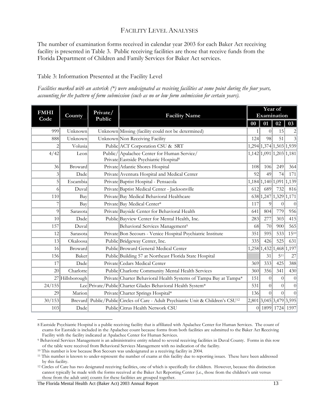### FACILITY LEVEL ANALYSES

The number of examination forms received in calendar year 2003 for each Baker Act receiving facility is presented in Table 3. Public receiving facilities are those that receive funds from the Florida Department of Children and Family Services for Baker Act services.

#### Table 3: Information Presented at the Facility Level

*Facilities marked with an asterisk (\*) were undesignated as receiving facilities at some point during the four years, accounting for the pattern of form submission (such as no or low form submission for certain years).* 

| <b>FMHI</b> | County          | Private/ | <b>Facility Name</b>                                                                              | Year of<br>Examination |                         |          |                  |  |
|-------------|-----------------|----------|---------------------------------------------------------------------------------------------------|------------------------|-------------------------|----------|------------------|--|
| Code        |                 | Public   |                                                                                                   | $\bf{00}$              | 01                      | 02       | 03               |  |
| 999         | Unknown         |          | Unknown Missing (facility could not be determined)                                                | 1                      | 0                       | 15       | $\left 2\right $ |  |
| 888         | Unknown         |          | Unknown Non Receiving Facility                                                                    | 124                    | 98                      | 51       | $3\vert$         |  |
| 2           | Volusia         |          | Public ACT Corporation CSU & SRT                                                                  |                        | 1,294 1,374 1,503 1,939 |          |                  |  |
| 4/42        | Leon            |          | Public/ Apalachee Center for Human Service/<br>Private Eastside Psychiatric Hospital <sup>8</sup> |                        | 1,142 1,091 1,203 1,181 |          |                  |  |
| 36          | Broward         |          | Private Atlantic Shores Hospital                                                                  | 108                    | 106                     | 249      | 364              |  |
| 3           | Dade            |          | Private Aventura Hospital and Medical Center                                                      | 92                     | 49                      | 74       | 171              |  |
| 5           | Escambia        |          | Private Baptist Hospital - Pensacola                                                              |                        | 1,184 1,140 1,091 1,139 |          |                  |  |
| 6           | Duval           |          | Private Baptist Medical Center - Jacksonville                                                     | 612                    | 689                     | 732      | 816              |  |
| 110         | Bay             |          | Private Bay Medical Behavioral Healthcare                                                         |                        | 638 1,247 1,329 1,171   |          |                  |  |
| 7           | Bay             |          | Private Bay Medical Center*                                                                       | 117                    | 9                       | $\theta$ | 0                |  |
| 9           | Sarasota        |          | Private Bayside Center for Behavioral Health                                                      | 641                    | 804                     | 779      | 956              |  |
| 10          | Dade            |          | Public Bayview Center for Mental Health, Inc.                                                     | 283                    | 277                     | 303      | 415              |  |
| 157         | Duval           |          | Behavioral Services Management <sup>9</sup>                                                       | 68                     | 70                      | 900      | 565              |  |
| 12          | Sarasota        |          | Private Bon Secours - Venice Hospital Psychiatric Institute                                       | 351                    | 595                     | 533      | $15^{10}$        |  |
| 13          | Okaloosa        |          | Public Bridgeway Center, Inc.                                                                     | 335                    | 426                     | 525      | 631              |  |
| 16          | Broward         |          | Public Broward General Medical Center                                                             |                        | 1,258 1,432 1,468 1,197 |          |                  |  |
| 156         | Baker           |          | Public Building 57 at Northeast Florida State Hospital                                            |                        | 31                      | 511      | 27               |  |
| 17          | Dade            |          | Private Cedars Medical Center                                                                     | 369                    | 333                     | 425      | 388              |  |
| 20          | Charlotte       |          | Public Charlotte Community Mental Health Services                                                 | 360                    | 356                     | 341      | 430              |  |
|             | 27 Hillsborough |          | Private Charter Behavioral Health Systems of Tampa Bay at Tampa*                                  | 151                    | $\Omega$                | $\Omega$ | 0                |  |
| 24/155      |                 |          | Lee Private/Public Charter Glades Behavioral Health System*                                       | 531                    | $\overline{0}$          | $\Omega$ | 0                |  |
| 29          | Marion          |          | Private Charter Springs Hospital*                                                                 | 136                    | $\Omega$                | $\theta$ | 0                |  |
| 30/153      | Brevard         |          | Public/Public Circles of Care - Adult Psychiatric Unit & Children's CSU <sup>12</sup>             |                        | 2,801 3,045 3,479 3,595 |          |                  |  |
| 103         | Dade            |          | Public Citrus Health Network CSU                                                                  |                        | 0 1899 1724 1597        |          |                  |  |

<span id="page-12-0"></span> $\overline{\phantom{a}}$ 8 Eastside Psychiatric Hospital is a public receiving facility that is affiliated with Apalachee Center for Human Services. The count of exams for Eastside is included in the Apalachee count because forms from both facilities are submitted to the Baker Act Receiving

The Florida Mental Health Act (Baker Act) 2003 Annual Report 13

<span id="page-12-1"></span>Facility with the facility indicated at Apalachee Center for Human Services. 9 Behavioral Services Management is an administrative entity related to several receiving facilities in Duval County. Forms in this row of the table were received from Behavioral Services Management with no indication of the facility.<br><sup>10</sup> This number is low because Bon Secours was undesignated as a receiving facility in 2004.<br><sup>11</sup> This number is known to

<span id="page-12-2"></span>

<span id="page-12-3"></span>by this facility.

<span id="page-12-4"></span><sup>&</sup>lt;sup>12</sup> Circles of Care has two designated receiving facilities, one of which is specifically for children. However, because this distinction cannot typically be made with the forms received at the Baker Act Reporting Center (i.e., those from the children's unit versus those from the adult unit) counts for these facilities are grouped together.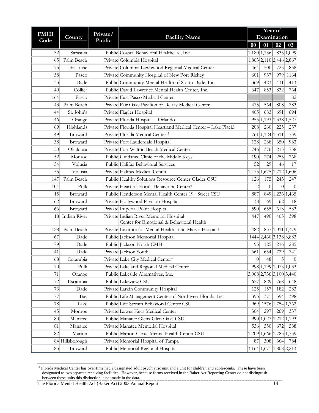|                     |                 |                    |                                                                 | Year of        |                |                         |                             |  |  |  |
|---------------------|-----------------|--------------------|-----------------------------------------------------------------|----------------|----------------|-------------------------|-----------------------------|--|--|--|
| <b>FMHI</b><br>Code | County          | Private/<br>Public | <b>Facility Name</b>                                            |                |                | Examination             |                             |  |  |  |
|                     |                 |                    |                                                                 | $\bf{00}$      | 01             |                         | $02 \mid 03$                |  |  |  |
| 32                  | Sarasota        |                    | Public Coastal Behavioral Healthcare, Inc.                      |                | 1,180 1,156    |                         | 835 1,099                   |  |  |  |
| 65                  | Palm Beach      |                    | Private Columbia Hospital                                       |                |                | 1,863 2,110 2,446 2,867 |                             |  |  |  |
| 75                  | St. Lucie       |                    | Private Columbia Lawnwood Regional Medical Center               | 464            | 500            | 725                     | 858                         |  |  |  |
| 58                  | Pasco           |                    | Private Community Hospital of New Port Richey                   | 601            | 937            | 979                     | 1164                        |  |  |  |
| 33                  | Dade            |                    | Public Community Mental Health of South Dade, Inc.              | 369            | 423            | 431                     | 413                         |  |  |  |
| 40                  | Collier         |                    | Public David Lawrence Mental Health Center, Inc.                | 647            | 853            | 832                     | 764                         |  |  |  |
| 164                 | Pasco           |                    | Private East Pasco Medical Center                               |                |                |                         | 82                          |  |  |  |
| 43                  | Palm Beach      |                    | Private Fair Oaks Pavilion of Delray Medical Center             | 475            | 564            | 808                     | 783                         |  |  |  |
| 44                  | St. John's      |                    | Private Flagler Hospital                                        | 405            | 683            | 691                     | 694                         |  |  |  |
| 46                  | Orange          |                    | Private Florida Hospital - Orlando                              |                |                | 955 1,193 1,338         | 1,527                       |  |  |  |
| 69                  | Highlands       |                    | Private Florida Hospital Heartland Medical Center - Lake Placid | 208            | 260            | 225                     | 237                         |  |  |  |
| 49                  | Broward         |                    | Private Florida Medical Center <sup>13</sup>                    | 761            | 1,124 1,311    |                         | 739                         |  |  |  |
| 38                  | Broward         |                    | Private Fort Lauderdale Hospital                                | 128            | 238            | 650                     | 932                         |  |  |  |
| 50                  | Okaloosa        |                    | Private Fort Walton Beach Medical Center                        | 746            | 376            | 215                     | 738                         |  |  |  |
| 52                  | Monroe          |                    | Public Guidance Clinic of the Middle Keys                       | 190            | 274            | 255                     | 268                         |  |  |  |
| 54                  | Volusia         |                    | Public Halifax Behavioral Services                              | 52             | 29             | 46                      | 17                          |  |  |  |
| 55                  | Volusia         |                    | Private Halifax Medical Center                                  |                |                | 1,475 1,675 1,712 1,606 |                             |  |  |  |
| 147                 | Palm Beach      |                    | Public Healthy Solutions Resource Center Glades CSU             | 126            | 175            | 243                     | 247                         |  |  |  |
| 104                 | Polk            |                    | Private Heart of Florida Behavioral Center*                     | $\overline{c}$ | $\overline{0}$ | $\overline{0}$          | $\overline{0}$              |  |  |  |
| 15                  | Broward         |                    | Public Henderson Mental Health Center 19th Street CSU           | 887            |                | 849 1,236 1,465         |                             |  |  |  |
| 62                  | Broward         |                    | Private Hollywood Pavilion Hospital                             | 38             | 69             | 62                      | 18                          |  |  |  |
| 66                  | Broward         |                    | Private Imperial Point Hospital                                 | 590            | 655            | 613                     | 533                         |  |  |  |
| 18                  | Indian River    |                    | Private Indian River Memorial Hospital                          | 447            | 490            | 405                     | 398                         |  |  |  |
|                     |                 |                    | Center for Emotional & Behavioral Health                        |                |                |                         |                             |  |  |  |
| 128                 | Palm Beach      |                    | Private Institute for Mental Health at St. Mary's Hospital      | 482            |                | 837 1,011 1,379         |                             |  |  |  |
| 67                  | Dade            |                    | Public Jackson Memorial Hospital                                |                |                | 1444 2,460 3,138 3,883  |                             |  |  |  |
| 79                  | Dade            |                    | Public Jackson North CMH                                        | 95             | 125            | 216                     | 285                         |  |  |  |
| 41                  | Dade            |                    | Private Jackson South                                           | 661            | 654            | 729                     | 741                         |  |  |  |
| 68                  | Columbia        |                    | Private Lake City Medical Center*                               | $\overline{0}$ | 48             | $\overline{5}$          | 0                           |  |  |  |
| 70                  | Polk            |                    | Private Lakeland Regional Medical Center                        |                |                |                         | 998 1,199 1,075 1,033       |  |  |  |
| 71                  | Orange          |                    | Public Lakeside Alternatives, Inc.                              |                |                |                         | 3,068 2,736 3,100 3,440     |  |  |  |
| 72                  | Escambia        |                    | Public Lakeview CSU                                             | 657            | 829            | 768                     | 648                         |  |  |  |
| 73                  | Dade            |                    | Private Larkin Community Hospital                               | 125            | 157            | 182                     | 283                         |  |  |  |
| 77                  | Bay             |                    | Public Life Management Center of Northwest Florida, Inc.        | 393            | 371            | 394                     | 398                         |  |  |  |
| 78                  | Lake            |                    | Public Life Stream Behavioral Center CSU                        | 969            |                |                         | 1576 1,754 1,762            |  |  |  |
| 45                  | Monroe          |                    | Private Lower Keys Medical Center                               | 304            | 297            | 269                     | 337                         |  |  |  |
| 80                  | Manatee         |                    | Public Manatee Glens-Glen Oaks CSU                              |                |                | 990 1,027 1,212 1,193   |                             |  |  |  |
| 81                  | Manatee         |                    | Private Manatee Memorial Hospital                               | 536            | 550            | 672                     | 588                         |  |  |  |
| 82                  | Marion          |                    | Public Marion-Citrus Mental Health Center CSU                   |                |                |                         | 1,209 1,666 1,783 1,759     |  |  |  |
|                     | 84 Hillsborough |                    | Private Memorial Hospital of Tampa                              | 87             | 308            | 364                     | 784                         |  |  |  |
| 85                  | Broward         |                    | Public Memorial Regional Hospital                               |                |                |                         | 3, 164 1, 671 1, 808 2, 213 |  |  |  |

<span id="page-13-0"></span> $\overline{\phantom{a}}$ <sup>13</sup> Florida Medical Center has over time had a designated adult psychiatric unit and a unit for children and adolescents. These have been designated as two separate receiving facilities. However, because forms received in the Baker Act Reporting Center do not distinguish between these units this distinction is not made in the data.

The Florida Mental Health Act (Baker Act) 2003 Annual Report 14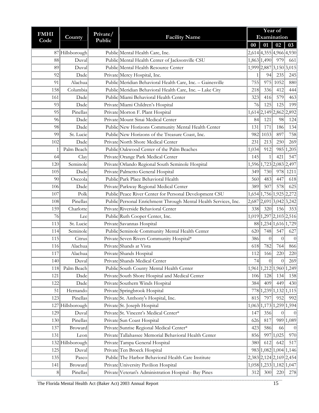| <b>FMHI</b> |                  | Private/ |                                                                 | Year of     |                         |                   |                         |  |
|-------------|------------------|----------|-----------------------------------------------------------------|-------------|-------------------------|-------------------|-------------------------|--|
| Code        | County           | Public   | <b>Facility Name</b>                                            | Examination |                         |                   |                         |  |
|             |                  |          |                                                                 | $\bf{00}$   |                         | $01 \mid 02 \mid$ | 03                      |  |
|             | 87 Hillsborough  |          | Public Mental Health Care, Inc.                                 |             | 2,614 4,355 4,966 4,930 |                   |                         |  |
| 88          | Duval            |          | Public Mental Health Center of Jacksonville CSU                 |             | 1,863 1,490             | 979               | 661                     |  |
| 89          | Duval            |          | Public Mental Health Resource Center                            |             | 1,999 2,887 3,150 3,015 |                   |                         |  |
| 92          | Dade             |          | Private Mercy Hospital, Inc.                                    | 1           | 94                      | 235               | 245                     |  |
| 91          | Alachua          |          | Public Meridian Behavioral Health Care, Inc. - Gainesville      | 755         | 975                     | 1052              | 880                     |  |
| 158         | Columbia         |          | Public Meridian Behavioral Health Care, Inc. - Lake City        | 218         | 336                     | 412               | 444                     |  |
| 161         | Dade             |          | Public Miami Behavioral Health Center                           | 323         | 416                     | 579               | 463                     |  |
| 93          | Dade             |          | Private Miami Children's Hospital                               | 76          | 125                     | 125               | 199                     |  |
| 95          | Pinellas         |          | Private Morton F. Plant Hospital                                |             | 1,614 2,149 2,862 2,892 |                   |                         |  |
| 96          | Dade             |          | Private Mount Sinai Medical Center                              | 84          | 121                     | 98                | 124                     |  |
| 98          | Dade             |          | Public New Horizons Community Mental Health Center              | 131         | 171                     | 186               | 134                     |  |
| 99          | St. Lucie        |          | Public New Horizons of the Treasure Coast, Inc.                 | 982         | 1033                    | 897               | 758                     |  |
| 102         | Dade             |          | Private North Shore Medical Center                              | 231         | 213                     | 250               | 269                     |  |
| 1           | Palm Beach       |          | Public Oakwood Center of the Palm Beaches                       | 1,034       | 912                     |                   | 985 1,205               |  |
| 64          | Clay             |          | Private Orange Park Medical Center                              | 145         | 1                       | 421               | 547                     |  |
| 120         | Seminole         |          | Private Orlando Regional South Seminole Hospital                |             | 1,596 1,723 2,083 2,497 |                   |                         |  |
| 105         | Dade             |          | Private Palmetto General Hospital                               | 349         | 730                     | 978               | 1211                    |  |
| 90          | Osceola          |          | Public Park Place Behavioral Health                             | 560         | 483                     | 447               | 618                     |  |
| 106         | Dade             |          | Private Parkway Regional Medical Center                         | 389         | 507                     | 578               | 625                     |  |
| 107         | Polk             |          | Public Peace River Center for Personal Development CSU          |             | 1,654 1,756 1,925 2,272 |                   |                         |  |
| 108         | Pinellas         |          | Public Personal Enrichment Through Mental Health Services, Inc. |             | 2,687 2,691 3,042 3,242 |                   |                         |  |
| 159         | Charlotte        |          | Private Riverside Behavioral Center                             | 338         | 320                     | 156               | 353                     |  |
| 76          | Lee              |          | Public Ruth Cooper Center, Inc.                                 |             | 1,019 1,297 2,103 2,516 |                   |                         |  |
| 113         | St. Lucie        |          | Private Savannas Hospital                                       |             | 88 1, 234 1, 616 1, 729 |                   |                         |  |
| 114         | Seminole         |          | Public Seminole Community Mental Health Center                  | 620         | 748                     | 547               | 627                     |  |
| 115         | Citrus           |          | Private Seven Rivers Community Hospital*                        | 386         | $\overline{0}$          | $\theta$          | $\overline{0}$          |  |
| 116         | Alachua          |          | Private Shands at Vista                                         | 618         | 782                     | 764               | 866                     |  |
| 117         | Alachua          |          | Private Shands Hospital                                         | 112         | 166                     | 220               | 220                     |  |
| 140         | Duval            |          | Private Shands Medical Center                                   | 74          | 0                       | 0                 | 269                     |  |
| 118         | Palm Beach       |          | Public South County Mental Health Center                        |             |                         |                   | 1,961 1,212 1,960 1,249 |  |
| 121         | Dade             |          | Private South Shore Hospital and Medical Center                 | 106         | 128                     | 134               | 158                     |  |
| 122         | Dade             |          | Private Southern Winds Hospital                                 | 384         | 409                     | 449               | 430                     |  |
| 51          | Hernando         |          | Private Springbrook Hospital                                    |             |                         |                   | 778 1,239 1,132 1,115   |  |
| 123         | Pinellas         |          | Private St. Anthony's Hospital, Inc.                            | 815         | 797                     | 952               | 992                     |  |
| 127         | Hillsborough     |          | Private St. Joseph Hospital                                     |             |                         |                   | 1,063 1,173 1,259 1,594 |  |
| 129         | Duval            |          | Private St. Vincent's Medical Center*                           | 147         | 356                     | $\boldsymbol{0}$  | $\theta$                |  |
| 130         | Pinellas         |          | Private Sun Coast Hospital                                      | 626         | 817                     |                   | 989 1,089               |  |
| 137         | Broward          |          | Private Sunrise Regional Medical Center*                        | 423         | 586                     | 66                | $\theta$                |  |
| 131         | Leon             |          | Private Tallahassee Memorial Behavioral Health Center           | 856         | 997                     | 1,025             | 970                     |  |
|             | 132 Hillsborough |          | Private Tampa General Hospital                                  | 380         | 612                     | 642               | 517                     |  |
| 125         | Duval            |          | Private Ten Broeck Hospital                                     |             | 983 1,082 1,004 1,146   |                   |                         |  |
| 135         | Pasco            |          | Public The Harbor Behavioral Health Care Institute              |             |                         |                   | 2,383 2,124 2,169 2,454 |  |
| 141         | Broward          |          | Private University Pavilion Hospital                            |             |                         |                   | 1,058 1,233 1,182 1,047 |  |
| $\,8\,$     | Pinellas         |          | Private Veteran's Administration Hospital - Bay Pines           | 312         | 300                     | 220               | 278                     |  |

The Florida Mental Health Act (Baker Act) 2003 Annual Report 15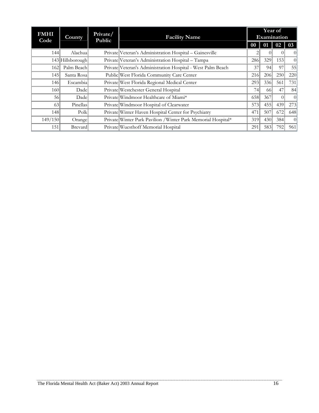| <b>FMHI</b><br>Code | County           | Private/<br>Public | <b>Facility Name</b>                                          |     |     | Year of<br>Examination |                 |
|---------------------|------------------|--------------------|---------------------------------------------------------------|-----|-----|------------------------|-----------------|
|                     |                  |                    |                                                               | 00  | 01  | 02                     | 03              |
| 144                 | Alachua          |                    | Private Veteran's Administration Hospital - Gainesville       |     |     |                        | $\vert 0 \vert$ |
|                     | 143 Hillsborough |                    | Private Veteran's Administration Hospital - Tampa             | 286 | 329 | 153                    | $\vert$ 0       |
| 162                 | Palm Beach       |                    | Private Veteran's Administration Hospital - West Palm Beach   | 37  | 94  | 97                     | 55              |
| 145                 | Santa Rosa       |                    | Public West Florida Community Care Center                     | 216 | 206 | 250                    | 220             |
| 146                 | Escambia         |                    | Private West Florida Regional Medical Center                  | 293 | 336 | 561                    | 731             |
| 160                 | Dade             |                    | Private Westchester General Hospital                          | 74  | -66 | 47                     | 84              |
| 56                  | Dade             |                    | Private Windmoor Healthcare of Miami*                         | 658 | 367 | $\Omega$               | $\vert$ 0       |
| 63                  | Pinellas         |                    | Private Windmoor Hospital of Clearwater                       | 573 | 455 | 439                    | 273             |
| 148                 | Polk             |                    | Private Winter Haven Hospital Center for Psychiatry           | 471 | 507 | 672                    | 648             |
| 149/150             | Orange           |                    | Private Winter Park Pavilion / Winter Park Memorial Hospital* | 319 | 430 | 384                    | $\vert 0 \vert$ |
| 151                 | <b>Brevard</b>   |                    | Private Wuesthoff Memorial Hospital                           | 291 | 583 | 792                    | 961             |